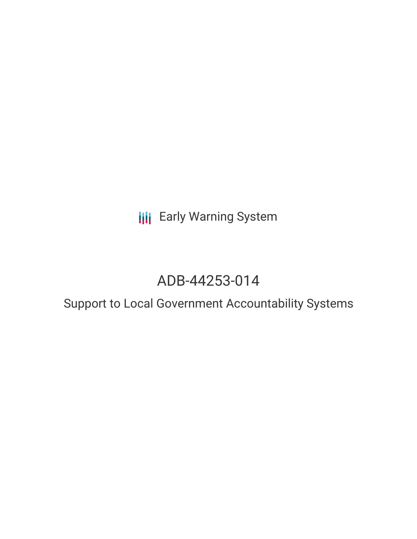**III** Early Warning System

## ADB-44253-014

# Support to Local Government Accountability Systems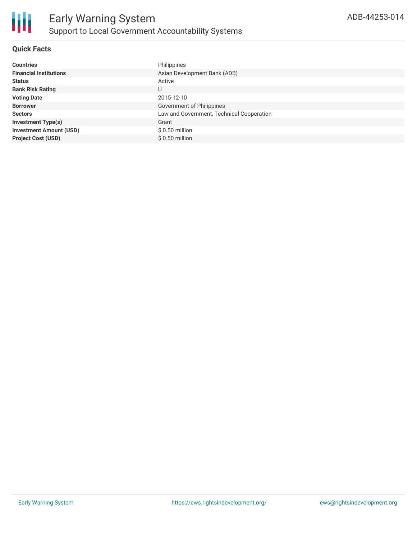

#### **Quick Facts**

| <b>Countries</b>               | Philippines                               |
|--------------------------------|-------------------------------------------|
| <b>Financial Institutions</b>  | Asian Development Bank (ADB)              |
| <b>Status</b>                  | Active                                    |
| <b>Bank Risk Rating</b>        | U                                         |
| <b>Voting Date</b>             | 2015-12-10                                |
| <b>Borrower</b>                | Government of Philippines                 |
| <b>Sectors</b>                 | Law and Government, Technical Cooperation |
| <b>Investment Type(s)</b>      | Grant                                     |
| <b>Investment Amount (USD)</b> | $$0.50$ million                           |
| <b>Project Cost (USD)</b>      | $$0.50$ million                           |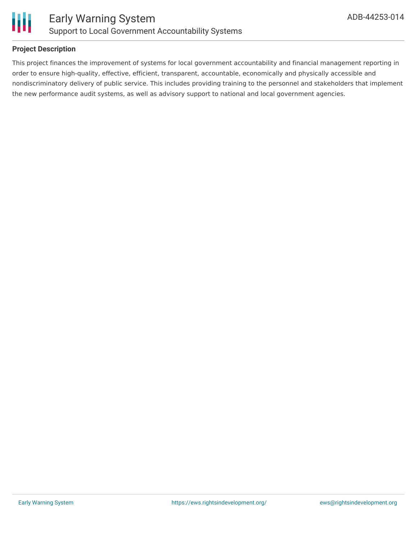

#### **Project Description**

This project finances the improvement of systems for local government accountability and financial management reporting in order to ensure high-quality, effective, efficient, transparent, accountable, economically and physically accessible and nondiscriminatory delivery of public service. This includes providing training to the personnel and stakeholders that implement the new performance audit systems, as well as advisory support to national and local government agencies.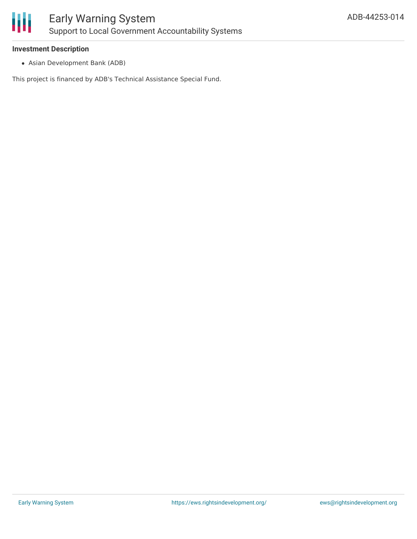

#### **Investment Description**

Asian Development Bank (ADB)

This project is financed by ADB's Technical Assistance Special Fund.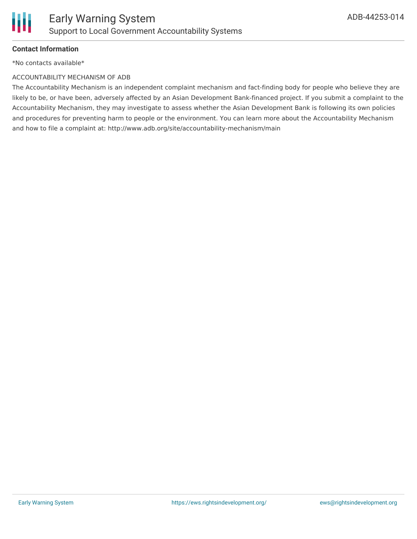

#### **Contact Information**

\*No contacts available\*

#### ACCOUNTABILITY MECHANISM OF ADB

The Accountability Mechanism is an independent complaint mechanism and fact-finding body for people who believe they are likely to be, or have been, adversely affected by an Asian Development Bank-financed project. If you submit a complaint to the Accountability Mechanism, they may investigate to assess whether the Asian Development Bank is following its own policies and procedures for preventing harm to people or the environment. You can learn more about the Accountability Mechanism and how to file a complaint at: http://www.adb.org/site/accountability-mechanism/main